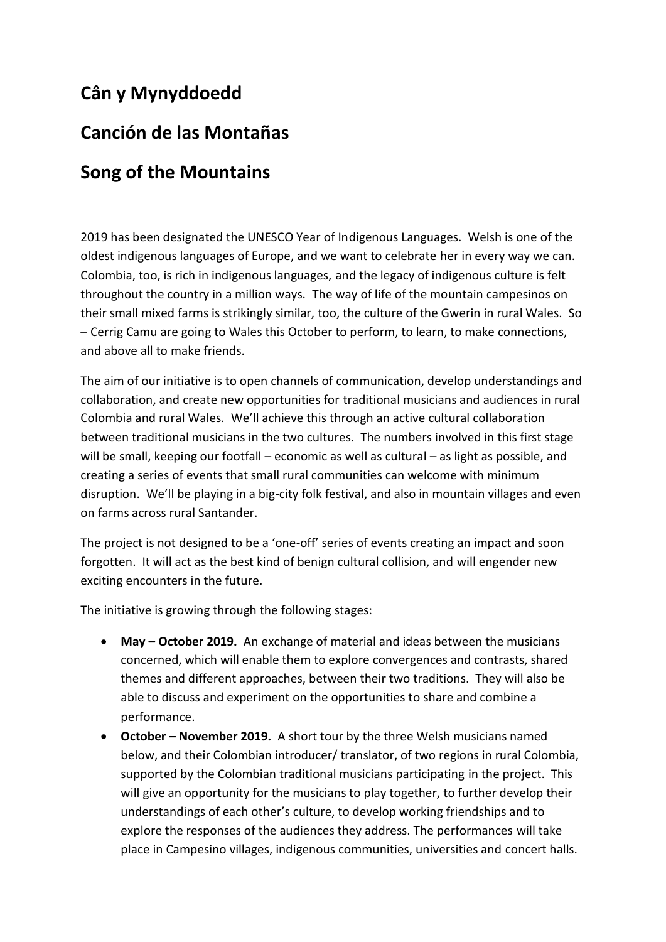## **Cân y Mynyddoedd**

### **Canción de las Montañas**

## **Song of the Mountains**

2019 has been designated the UNESCO Year of Indigenous Languages. Welsh is one of the oldest indigenous languages of Europe, and we want to celebrate her in every way we can. Colombia, too, is rich in indigenous languages, and the legacy of indigenous culture is felt throughout the country in a million ways. The way of life of the mountain campesinos on their small mixed farms is strikingly similar, too, the culture of the Gwerin in rural Wales. So – Cerrig Camu are going to Wales this October to perform, to learn, to make connections, and above all to make friends.

The aim of our initiative is to open channels of communication, develop understandings and collaboration, and create new opportunities for traditional musicians and audiences in rural Colombia and rural Wales. We'll achieve this through an active cultural collaboration between traditional musicians in the two cultures. The numbers involved in this first stage will be small, keeping our footfall – economic as well as cultural – as light as possible, and creating a series of events that small rural communities can welcome with minimum disruption. We'll be playing in a big-city folk festival, and also in mountain villages and even on farms across rural Santander.

The project is not designed to be a 'one-off' series of events creating an impact and soon forgotten. It will act as the best kind of benign cultural collision, and will engender new exciting encounters in the future.

The initiative is growing through the following stages:

- **May – October 2019.** An exchange of material and ideas between the musicians concerned, which will enable them to explore convergences and contrasts, shared themes and different approaches, between their two traditions. They will also be able to discuss and experiment on the opportunities to share and combine a performance.
- **October – November 2019.** A short tour by the three Welsh musicians named below, and their Colombian introducer/ translator, of two regions in rural Colombia, supported by the Colombian traditional musicians participating in the project. This will give an opportunity for the musicians to play together, to further develop their understandings of each other's culture, to develop working friendships and to explore the responses of the audiences they address. The performances will take place in Campesino villages, indigenous communities, universities and concert halls.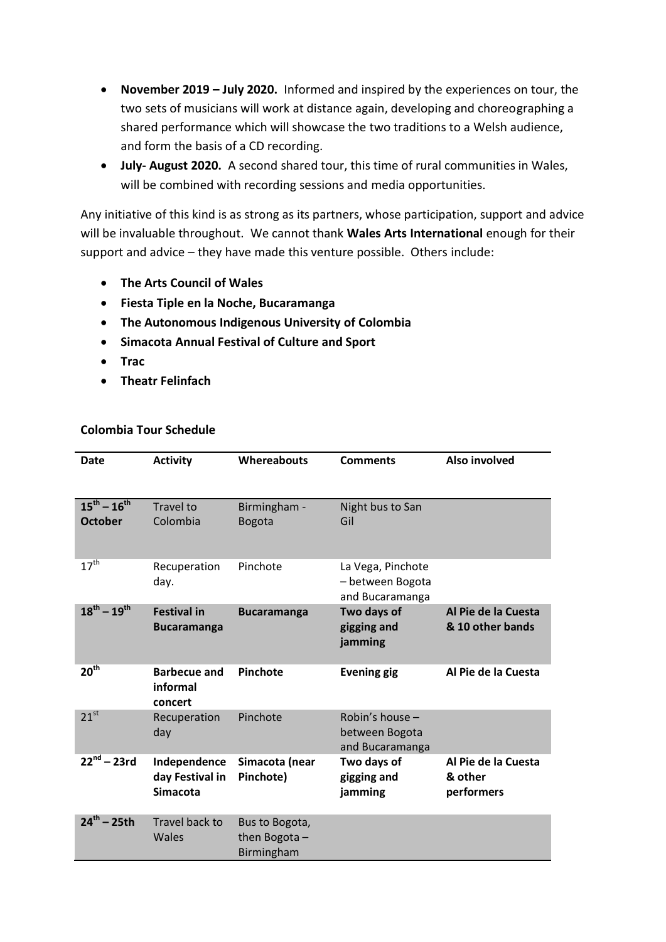- **November 2019 – July 2020.** Informed and inspired by the experiences on tour, the two sets of musicians will work at distance again, developing and choreographing a shared performance which will showcase the two traditions to a Welsh audience, and form the basis of a CD recording.
- **July- August 2020.** A second shared tour, this time of rural communities in Wales, will be combined with recording sessions and media opportunities.

Any initiative of this kind is as strong as its partners, whose participation, support and advice will be invaluable throughout. We cannot thank **Wales Arts International** enough for their support and advice – they have made this venture possible. Others include:

- **The Arts Council of Wales**
- **Fiesta Tiple en la Noche, Bucaramanga**
- **The Autonomous Indigenous University of Colombia**
- **Simacota Annual Festival of Culture and Sport**
- **Trac**
- **Theatr Felinfach**

#### **Colombia Tour Schedule**

| <b>Date</b>                           | <b>Activity</b>                                    | Whereabouts                                  | <b>Comments</b>                                          | Also involved                                |
|---------------------------------------|----------------------------------------------------|----------------------------------------------|----------------------------------------------------------|----------------------------------------------|
| $15^{th} - 16^{th}$<br><b>October</b> | <b>Travel to</b><br>Colombia                       | Birmingham -<br><b>Bogota</b>                | Night bus to San<br>Gil                                  |                                              |
| $17^{\text{th}}$                      | Recuperation<br>day.                               | Pinchote                                     | La Vega, Pinchote<br>- between Bogota<br>and Bucaramanga |                                              |
| $18^{th} - 19^{th}$                   | <b>Festival in</b><br><b>Bucaramanga</b>           | <b>Bucaramanga</b>                           | Two days of<br>gigging and<br>jamming                    | Al Pie de la Cuesta<br>& 10 other bands      |
| 20 <sup>th</sup>                      | <b>Barbecue and</b><br>informal<br>concert         | Pinchote                                     | <b>Evening gig</b>                                       | Al Pie de la Cuesta                          |
| $21^{st}$                             | Recuperation<br>day                                | Pinchote                                     | Robin's house -<br>between Bogota<br>and Bucaramanga     |                                              |
| $22^{nd} - 23rd$                      | Independence<br>day Festival in<br><b>Simacota</b> | Simacota (near<br>Pinchote)                  | Two days of<br>gigging and<br>jamming                    | Al Pie de la Cuesta<br>& other<br>performers |
| $24^{th} - 25th$                      | Travel back to<br>Wales                            | Bus to Bogota,<br>then Bogota-<br>Birmingham |                                                          |                                              |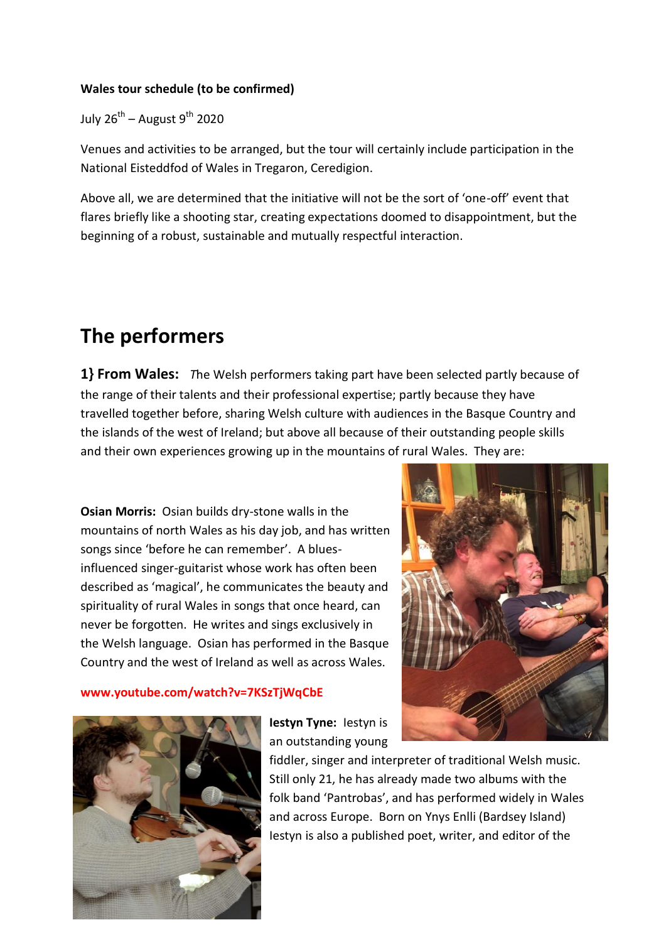### **Wales tour schedule (to be confirmed)**

July 26<sup>th</sup> – August 9<sup>th</sup> 2020

Venues and activities to be arranged, but the tour will certainly include participation in the National Eisteddfod of Wales in Tregaron, Ceredigion.

Above all, we are determined that the initiative will not be the sort of 'one-off' event that flares briefly like a shooting star, creating expectations doomed to disappointment, but the beginning of a robust, sustainable and mutually respectful interaction.

# **The performers**

**1} From Wales:** *T*he Welsh performers taking part have been selected partly because of the range of their talents and their professional expertise; partly because they have travelled together before, sharing Welsh culture with audiences in the Basque Country and the islands of the west of Ireland; but above all because of their outstanding people skills and their own experiences growing up in the mountains of rural Wales. They are:

**Osian Morris:** Osian builds dry-stone walls in the mountains of north Wales as his day job, and has written songs since 'before he can remember'. A bluesinfluenced singer-guitarist whose work has often been described as 'magical', he communicates the beauty and spirituality of rural Wales in songs that once heard, can never be forgotten. He writes and sings exclusively in the Welsh language. Osian has performed in the Basque Country and the west of Ireland as well as across Wales.

#### **www.youtube.com/watch?v=7KSzTjWqCbE**





**Iestyn Tyne:** Iestyn is an outstanding young

fiddler, singer and interpreter of traditional Welsh music. Still only 21, he has already made two albums with the folk band 'Pantrobas', and has performed widely in Wales and across Europe. Born on Ynys Enlli (Bardsey Island) Iestyn is also a published poet, writer, and editor of the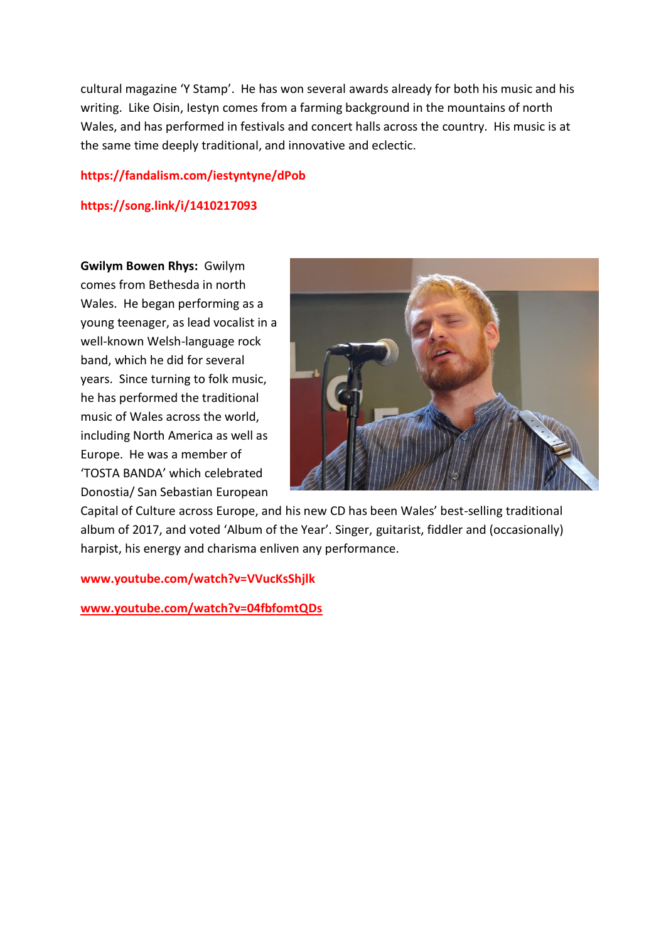cultural magazine 'Y Stamp'. He has won several awards already for both his music and his writing. Like Oisin, Iestyn comes from a farming background in the mountains of north Wales, and has performed in festivals and concert halls across the country. His music is at the same time deeply traditional, and innovative and eclectic.

#### **https://fandalism.com/iestyntyne/dPob**

#### **https://song.link/i/1410217093**

**Gwilym Bowen Rhys:** Gwilym comes from Bethesda in north Wales. He began performing as a young teenager, as lead vocalist in a well-known Welsh-language rock band, which he did for several years. Since turning to folk music, he has performed the traditional music of Wales across the world, including North America as well as Europe. He was a member of 'TOSTA BANDA' which celebrated Donostia/ San Sebastian European



Capital of Culture across Europe, and his new CD has been Wales' best-selling traditional album of 2017, and voted 'Album of the Year'. Singer, guitarist, fiddler and (occasionally) harpist, his energy and charisma enliven any performance.

**www.youtube.com/watch?v=VVucKsShjlk**

**[www.youtube.com/watch?v=04fbfomtQDs](http://www.youtube.com/watch?v=04fbfomtQDs)**